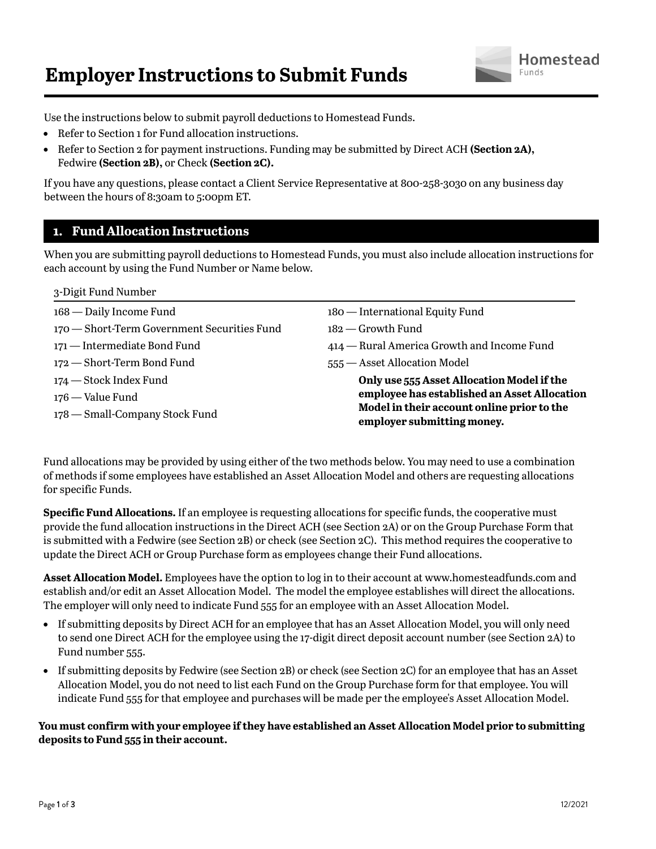# **Employer Instructions to Submit Funds**



Use the instructions below to submit payroll deductions to Homestead Funds.

- Refer to Section 1 for Fund allocation instructions.
- Refer to Section 2 for payment instructions. Funding may be submitted by Direct ACH **(Section 2A),** Fedwire **(Section 2B),** or Check **(Section 2C).**

If you have any questions, please contact a Client Service Representative at 800-258-3030 on any business day between the hours of 8:30am to 5:00pm ET.

# **1. Fund Allocation Instructions**

When you are submitting payroll deductions to Homestead Funds, you must also include allocation instructions for each account by using the Fund Number or Name below.

| 3-Digit Fund Number                         |                                                                          |
|---------------------------------------------|--------------------------------------------------------------------------|
| 168 — Daily Income Fund                     | 180 — International Equity Fund                                          |
| 170 – Short-Term Government Securities Fund | $182$ - Growth Fund                                                      |
| 171 — Intermediate Bond Fund                | 414 – Rural America Growth and Income Fund                               |
| 172 – Short-Term Bond Fund                  | 555 - Asset Allocation Model                                             |
| 174 — Stock Index Fund                      | Only use 555 Asset Allocation Model if the                               |
| 176 — Value Fund                            | employee has established an Asset Allocation                             |
| 178 — Small-Company Stock Fund              | Model in their account online prior to the<br>employer submitting money. |

Fund allocations may be provided by using either of the two methods below. You may need to use a combination of methods if some employees have established an Asset Allocation Model and others are requesting allocations for specific Funds.

**Specific Fund Allocations.** If an employee is requesting allocations for specific funds, the cooperative must provide the fund allocation instructions in the Direct ACH (see Section 2A) or on the Group Purchase Form that is submitted with a Fedwire (see Section 2B) or check (see Section 2C). This method requires the cooperative to update the Direct ACH or Group Purchase form as employees change their Fund allocations.

**Asset Allocation Model.** Employees have the option to log in to their account at www.homesteadfunds.com and establish and/or edit an Asset Allocation Model. The model the employee establishes will direct the allocations. The employer will only need to indicate Fund 555 for an employee with an Asset Allocation Model.

- If submitting deposits by Direct ACH for an employee that has an Asset Allocation Model, you will only need to send one Direct ACH for the employee using the 17-digit direct deposit account number (see Section 2A) to Fund number 555.
- If submitting deposits by Fedwire (see Section 2B) or check (see Section 2C) for an employee that has an Asset Allocation Model, you do not need to list each Fund on the Group Purchase form for that employee. You will indicate Fund 555 for that employee and purchases will be made per the employee's Asset Allocation Model.

## **You must confirm with your employee if they have established an Asset Allocation Model prior to submitting deposits to Fund 555 in their account.**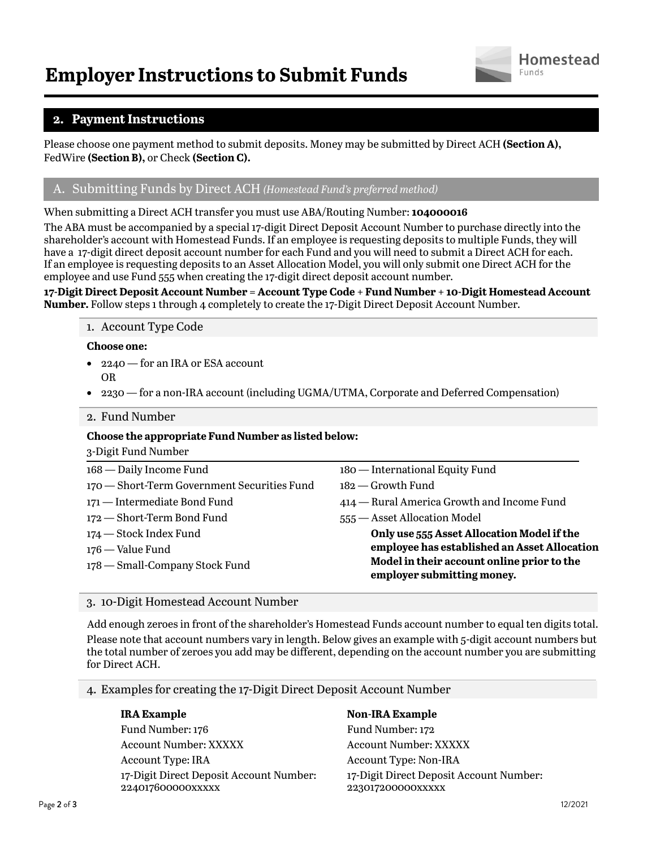

# **2. Payment Instructions**

Please choose one payment method to submit deposits. Money may be submitted by Direct ACH **(Section A),** FedWire **(Section B),** or Check **(Section C).**

# A. Submitting Funds by Direct ACH *(Homestead Fund's preferred method)*

When submitting a Direct ACH transfer you must use ABA/Routing Number: **104000016**

The ABA must be accompanied by a special 17-digit Direct Deposit Account Number to purchase directly into the shareholder's account with Homestead Funds. If an employee is requesting deposits to multiple Funds, they will have a 17-digit direct deposit account number for each Fund and you will need to submit a Direct ACH for each. If an employee is requesting deposits to an Asset Allocation Model, you will only submit one Direct ACH for the employee and use Fund 555 when creating the 17-digit direct deposit account number.

**17-Digit Direct Deposit Account Number = Account Type Code + Fund Number + 10-Digit Homestead Account Number.** Follow steps 1 through 4 completely to create the 17-Digit Direct Deposit Account Number.

### 1. Account Type Code

### **Choose one:**

- 2240 for an IRA or ESA account OR
- 2230 for a non-IRA account (including UGMA/UTMA, Corporate and Deferred Compensation)

### 2. Fund Number

### **Choose the appropriate Fund Number as listed below:**

| 3-Digit Fund Number                         |                                                                          |
|---------------------------------------------|--------------------------------------------------------------------------|
| 168 — Daily Income Fund                     | 180 — International Equity Fund                                          |
| 170 – Short-Term Government Securities Fund | $182$ - Growth Fund                                                      |
| 171 — Intermediate Bond Fund                | 414 – Rural America Growth and Income Fund                               |
| 172 - Short-Term Bond Fund                  | 555 - Asset Allocation Model                                             |
| 174 — Stock Index Fund                      | Only use 555 Asset Allocation Model if the                               |
| 176 — Value Fund                            | employee has established an Asset Allocation                             |
| 178 — Small-Company Stock Fund              | Model in their account online prior to the<br>employer submitting money. |

### 3. 10-Digit Homestead Account Number

Add enough zeroes in front of the shareholder's Homestead Funds account number to equal ten digits total. Please note that account numbers vary in length. Below gives an example with 5-digit account numbers but the total number of zeroes you add may be different, depending on the account number you are submitting for Direct ACH.

4. Examples for creating the 17-Digit Direct Deposit Account Number

Fund Number: 176 Fund Number: 172 Account Number: XXXXX Account Number: XXXXX Account Type: IRA Account Type: Non-IRA 17-Digit Direct Deposit Account Number: 224017600000xxxxx

### **IRA Example Non-IRA Example**

17-Digit Direct Deposit Account Number: 223017200000xxxxx